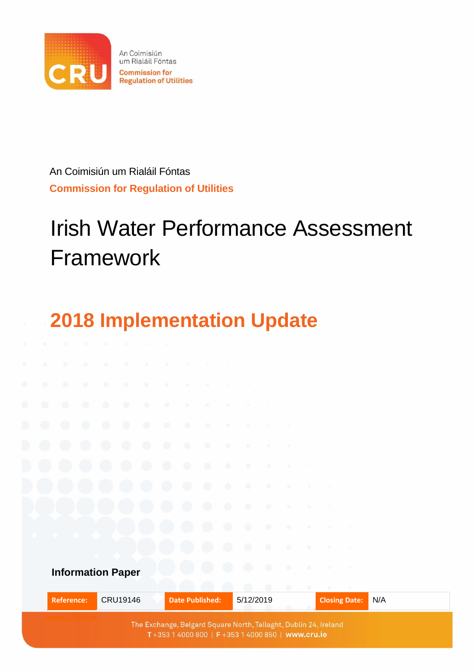

An Coimisiún um Rialáil Fóntas **Commission for Regulation of Utilities** 

An Coimisiún um Rialáil Fóntas **Commission for Regulation of Utilities**

# Irish Water Performance Assessment Framework

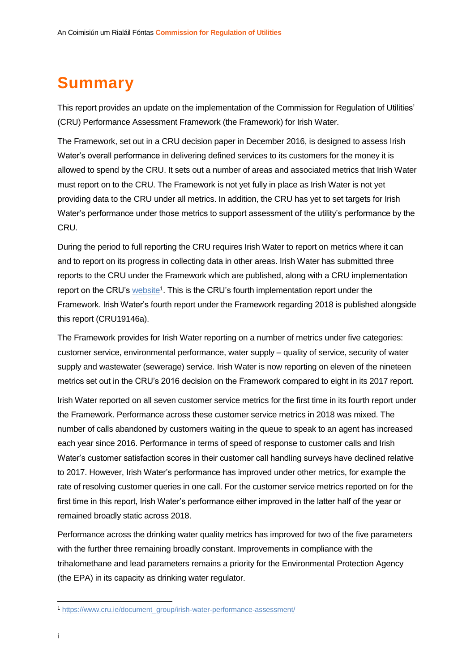# <span id="page-1-0"></span>**Summary**

This report provides an update on the implementation of the Commission for Regulation of Utilities' (CRU) Performance Assessment Framework (the Framework) for Irish Water.

The Framework, set out in a CRU decision paper in December 2016, is designed to assess Irish Water's overall performance in delivering defined services to its customers for the money it is allowed to spend by the CRU. It sets out a number of areas and associated metrics that Irish Water must report on to the CRU. The Framework is not yet fully in place as Irish Water is not yet providing data to the CRU under all metrics. In addition, the CRU has yet to set targets for Irish Water's performance under those metrics to support assessment of the utility's performance by the CRU.

During the period to full reporting the CRU requires Irish Water to report on metrics where it can and to report on its progress in collecting data in other areas. Irish Water has submitted three reports to the CRU under the Framework which are published, along with a CRU implementation report on the CRU'[s website](https://www.cru.ie/document_group/irish-water-performance-assessment/)<sup>1</sup>. This is the CRU's fourth implementation report under the Framework. Irish Water's fourth report under the Framework regarding 2018 is published alongside this report (CRU19146a).

The Framework provides for Irish Water reporting on a number of metrics under five categories: customer service, environmental performance, water supply – quality of service, security of water supply and wastewater (sewerage) service. Irish Water is now reporting on eleven of the nineteen metrics set out in the CRU's 2016 decision on the Framework compared to eight in its 2017 report.

Irish Water reported on all seven customer service metrics for the first time in its fourth report under the Framework. Performance across these customer service metrics in 2018 was mixed. The number of calls abandoned by customers waiting in the queue to speak to an agent has increased each year since 2016. Performance in terms of speed of response to customer calls and Irish Water's customer satisfaction scores in their customer call handling surveys have declined relative to 2017. However, Irish Water's performance has improved under other metrics, for example the rate of resolving customer queries in one call. For the customer service metrics reported on for the first time in this report, Irish Water's performance either improved in the latter half of the year or remained broadly static across 2018.

Performance across the drinking water quality metrics has improved for two of the five parameters with the further three remaining broadly constant. Improvements in compliance with the trihalomethane and lead parameters remains a priority for the Environmental Protection Agency (the EPA) in its capacity as drinking water regulator.

1

<sup>1</sup> [https://www.cru.ie/document\\_group/irish-water-performance-assessment/](https://www.cru.ie/document_group/irish-water-performance-assessment/)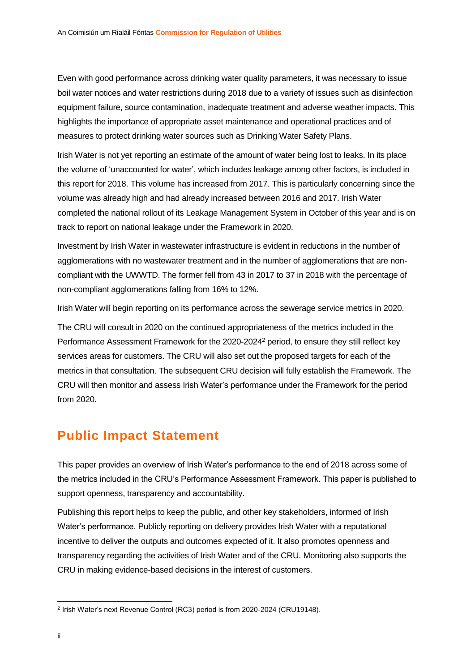Even with good performance across drinking water quality parameters, it was necessary to issue boil water notices and water restrictions during 2018 due to a variety of issues such as disinfection equipment failure, source contamination, inadequate treatment and adverse weather impacts. This highlights the importance of appropriate asset maintenance and operational practices and of measures to protect drinking water sources such as Drinking Water Safety Plans.

Irish Water is not yet reporting an estimate of the amount of water being lost to leaks. In its place the volume of 'unaccounted for water', which includes leakage among other factors, is included in this report for 2018. This volume has increased from 2017. This is particularly concerning since the volume was already high and had already increased between 2016 and 2017. Irish Water completed the national rollout of its Leakage Management System in October of this year and is on track to report on national leakage under the Framework in 2020.

Investment by Irish Water in wastewater infrastructure is evident in reductions in the number of agglomerations with no wastewater treatment and in the number of agglomerations that are noncompliant with the UWWTD. The former fell from 43 in 2017 to 37 in 2018 with the percentage of non-compliant agglomerations falling from 16% to 12%.

Irish Water will begin reporting on its performance across the sewerage service metrics in 2020.

The CRU will consult in 2020 on the continued appropriateness of the metrics included in the Performance Assessment Framework for the 2020-2024<sup>2</sup> period, to ensure they still reflect key services areas for customers. The CRU will also set out the proposed targets for each of the metrics in that consultation. The subsequent CRU decision will fully establish the Framework. The CRU will then monitor and assess Irish Water's performance under the Framework for the period from 2020.

## <span id="page-2-0"></span>**Public Impact Statement**

This paper provides an overview of Irish Water's performance to the end of 2018 across some of the metrics included in the CRU's Performance Assessment Framework. This paper is published to support openness, transparency and accountability.

Publishing this report helps to keep the public, and other key stakeholders, informed of Irish Water's performance. Publicly reporting on delivery provides Irish Water with a reputational incentive to deliver the outputs and outcomes expected of it. It also promotes openness and transparency regarding the activities of Irish Water and of the CRU. Monitoring also supports the CRU in making evidence-based decisions in the interest of customers.

 2 Irish Water's next Revenue Control (RC3) period is from 2020-2024 (CRU19148).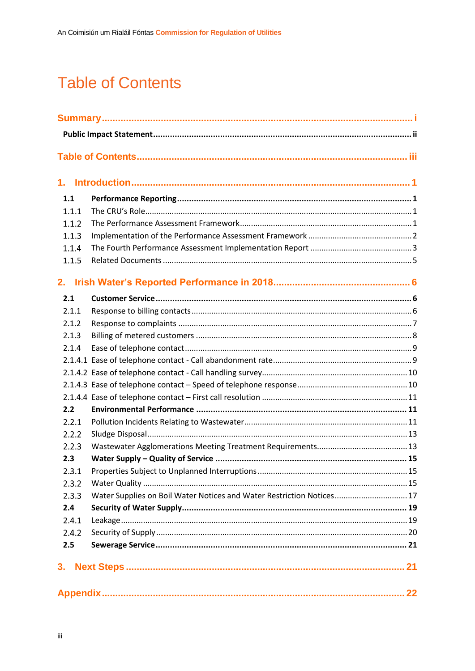# <span id="page-3-0"></span>**Table of Contents**

| 1.    |                                                                      |  |
|-------|----------------------------------------------------------------------|--|
|       |                                                                      |  |
| 1.1   |                                                                      |  |
| 1.1.1 |                                                                      |  |
| 1.1.2 |                                                                      |  |
| 1.1.3 |                                                                      |  |
| 1.1.4 |                                                                      |  |
| 1.1.5 |                                                                      |  |
| 2.    |                                                                      |  |
| 2.1   |                                                                      |  |
| 2.1.1 |                                                                      |  |
| 2.1.2 |                                                                      |  |
| 2.1.3 |                                                                      |  |
| 2.1.4 |                                                                      |  |
|       |                                                                      |  |
|       |                                                                      |  |
|       |                                                                      |  |
|       |                                                                      |  |
| 2.2   |                                                                      |  |
| 2.2.1 |                                                                      |  |
| 2.2.2 |                                                                      |  |
| 2.2.3 |                                                                      |  |
| 2.3   |                                                                      |  |
| 2.3.1 |                                                                      |  |
| 2.3.2 |                                                                      |  |
| 2.3.3 | Water Supplies on Boil Water Notices and Water Restriction Notices17 |  |
| 2.4   |                                                                      |  |
| 2.4.1 |                                                                      |  |
| 2.4.2 |                                                                      |  |
| 2.5   |                                                                      |  |
| 3.    |                                                                      |  |
|       |                                                                      |  |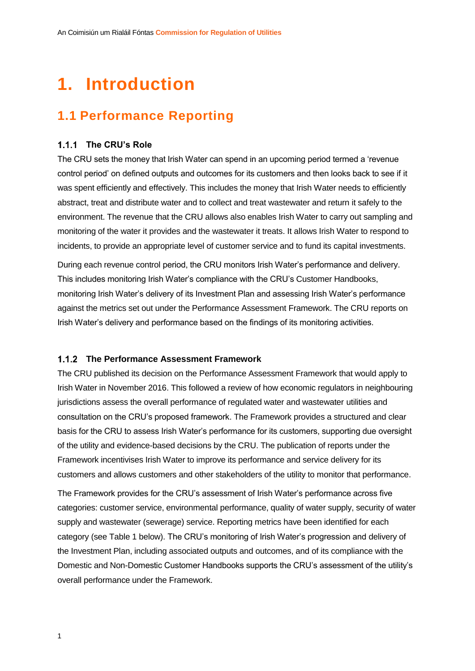# <span id="page-4-0"></span>**1. Introduction**

# <span id="page-4-1"></span>**1.1 Performance Reporting**

## <span id="page-4-2"></span>**The CRU's Role**

The CRU sets the money that Irish Water can spend in an upcoming period termed a 'revenue control period' on defined outputs and outcomes for its customers and then looks back to see if it was spent efficiently and effectively. This includes the money that Irish Water needs to efficiently abstract, treat and distribute water and to collect and treat wastewater and return it safely to the environment. The revenue that the CRU allows also enables Irish Water to carry out sampling and monitoring of the water it provides and the wastewater it treats. It allows Irish Water to respond to incidents, to provide an appropriate level of customer service and to fund its capital investments.

During each revenue control period, the CRU monitors Irish Water's performance and delivery. This includes monitoring Irish Water's compliance with the CRU's Customer Handbooks, monitoring Irish Water's delivery of its Investment Plan and assessing Irish Water's performance against the metrics set out under the Performance Assessment Framework. The CRU reports on Irish Water's delivery and performance based on the findings of its monitoring activities.

## <span id="page-4-3"></span>**The Performance Assessment Framework**

The CRU published its decision on the Performance Assessment Framework that would apply to Irish Water in November 2016. This followed a review of how economic regulators in neighbouring jurisdictions assess the overall performance of regulated water and wastewater utilities and consultation on the CRU's proposed framework. The Framework provides a structured and clear basis for the CRU to assess Irish Water's performance for its customers, supporting due oversight of the utility and evidence-based decisions by the CRU. The publication of reports under the Framework incentivises Irish Water to improve its performance and service delivery for its customers and allows customers and other stakeholders of the utility to monitor that performance.

The Framework provides for the CRU's assessment of Irish Water's performance across five categories: customer service, environmental performance, quality of water supply, security of water supply and wastewater (sewerage) service. Reporting metrics have been identified for each category (see Table 1 below). The CRU's monitoring of Irish Water's progression and delivery of the Investment Plan, including associated outputs and outcomes, and of its compliance with the Domestic and Non-Domestic Customer Handbooks supports the CRU's assessment of the utility's overall performance under the Framework.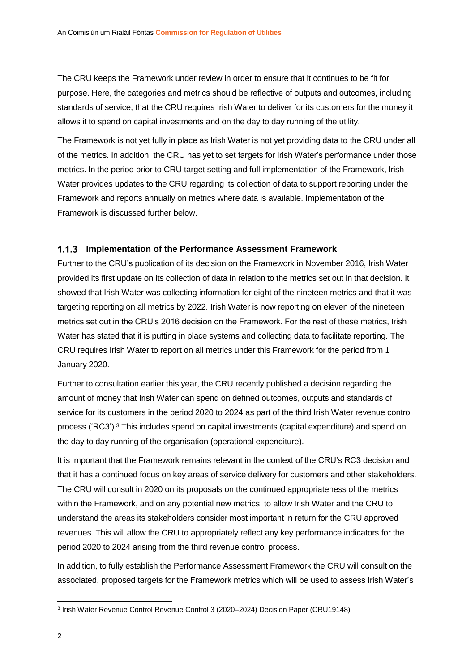The CRU keeps the Framework under review in order to ensure that it continues to be fit for purpose. Here, the categories and metrics should be reflective of outputs and outcomes, including standards of service, that the CRU requires Irish Water to deliver for its customers for the money it allows it to spend on capital investments and on the day to day running of the utility.

The Framework is not yet fully in place as Irish Water is not yet providing data to the CRU under all of the metrics. In addition, the CRU has yet to set targets for Irish Water's performance under those metrics. In the period prior to CRU target setting and full implementation of the Framework, Irish Water provides updates to the CRU regarding its collection of data to support reporting under the Framework and reports annually on metrics where data is available. Implementation of the Framework is discussed further below.

## <span id="page-5-0"></span>**Implementation of the Performance Assessment Framework**

Further to the CRU's publication of its decision on the Framework in November 2016, Irish Water provided its first update on its collection of data in relation to the metrics set out in that decision. It showed that Irish Water was collecting information for eight of the nineteen metrics and that it was targeting reporting on all metrics by 2022. Irish Water is now reporting on eleven of the nineteen metrics set out in the CRU's 2016 decision on the Framework. For the rest of these metrics, Irish Water has stated that it is putting in place systems and collecting data to facilitate reporting. The CRU requires Irish Water to report on all metrics under this Framework for the period from 1 January 2020.

Further to consultation earlier this year, the CRU recently published a decision regarding the amount of money that Irish Water can spend on defined outcomes, outputs and standards of service for its customers in the period 2020 to 2024 as part of the third Irish Water revenue control process ('RC3'). <sup>3</sup> This includes spend on capital investments (capital expenditure) and spend on the day to day running of the organisation (operational expenditure).

It is important that the Framework remains relevant in the context of the CRU's RC3 decision and that it has a continued focus on key areas of service delivery for customers and other stakeholders. The CRU will consult in 2020 on its proposals on the continued appropriateness of the metrics within the Framework, and on any potential new metrics, to allow Irish Water and the CRU to understand the areas its stakeholders consider most important in return for the CRU approved revenues. This will allow the CRU to appropriately reflect any key performance indicators for the period 2020 to 2024 arising from the third revenue control process.

In addition, to fully establish the Performance Assessment Framework the CRU will consult on the associated, proposed targets for the Framework metrics which will be used to assess Irish Water's

1

<sup>3</sup> Irish Water Revenue Control Revenue Control 3 (2020–2024) Decision Paper (CRU19148)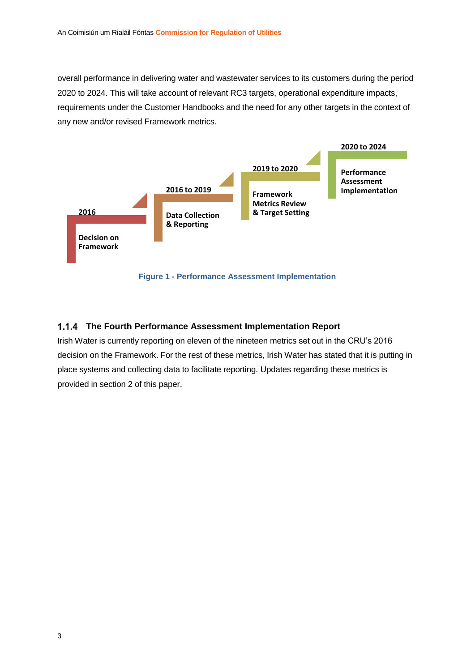overall performance in delivering water and wastewater services to its customers during the period 2020 to 2024. This will take account of relevant RC3 targets, operational expenditure impacts, requirements under the Customer Handbooks and the need for any other targets in the context of any new and/or revised Framework metrics.



## <span id="page-6-0"></span>**The Fourth Performance Assessment Implementation Report**

Irish Water is currently reporting on eleven of the nineteen metrics set out in the CRU's 2016 decision on the Framework. For the rest of these metrics, Irish Water has stated that it is putting in place systems and collecting data to facilitate reporting. Updates regarding these metrics is provided in section 2 of this paper.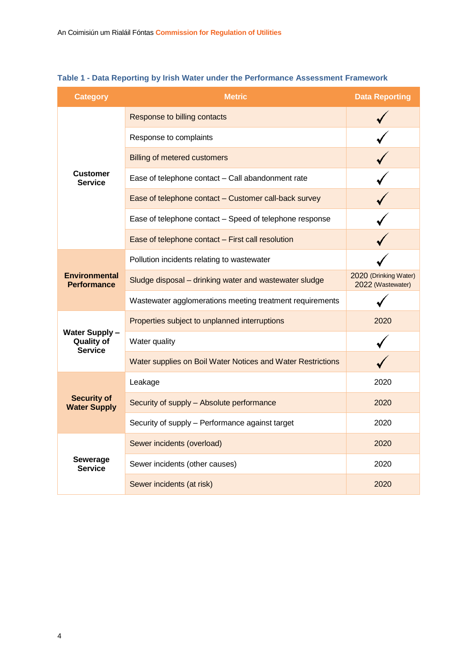| <b>Category</b>                                      | <b>Metric</b>                                               | <b>Data Reporting</b>                      |
|------------------------------------------------------|-------------------------------------------------------------|--------------------------------------------|
|                                                      | Response to billing contacts                                |                                            |
|                                                      | Response to complaints                                      |                                            |
|                                                      | <b>Billing of metered customers</b>                         |                                            |
| <b>Customer</b><br><b>Service</b>                    | Ease of telephone contact - Call abandonment rate           |                                            |
|                                                      | Ease of telephone contact - Customer call-back survey       |                                            |
|                                                      | Ease of telephone contact - Speed of telephone response     |                                            |
|                                                      | Ease of telephone contact - First call resolution           |                                            |
|                                                      | Pollution incidents relating to wastewater                  |                                            |
| <b>Environmental</b><br><b>Performance</b>           | Sludge disposal - drinking water and wastewater sludge      | 2020 (Drinking Water)<br>2022 (Wastewater) |
|                                                      | Wastewater agglomerations meeting treatment requirements    |                                            |
|                                                      | Properties subject to unplanned interruptions               | 2020                                       |
| Water Supply-<br><b>Quality of</b><br><b>Service</b> | Water quality                                               |                                            |
|                                                      | Water supplies on Boil Water Notices and Water Restrictions |                                            |
|                                                      | Leakage                                                     | 2020                                       |
| <b>Security of</b><br><b>Water Supply</b>            | Security of supply - Absolute performance                   | 2020                                       |
|                                                      | Security of supply - Performance against target             | 2020                                       |
|                                                      | Sewer incidents (overload)                                  | 2020                                       |
| Sewerage<br><b>Service</b>                           | Sewer incidents (other causes)                              | 2020                                       |
|                                                      | Sewer incidents (at risk)                                   | 2020                                       |

## **Table 1 - Data Reporting by Irish Water under the Performance Assessment Framework**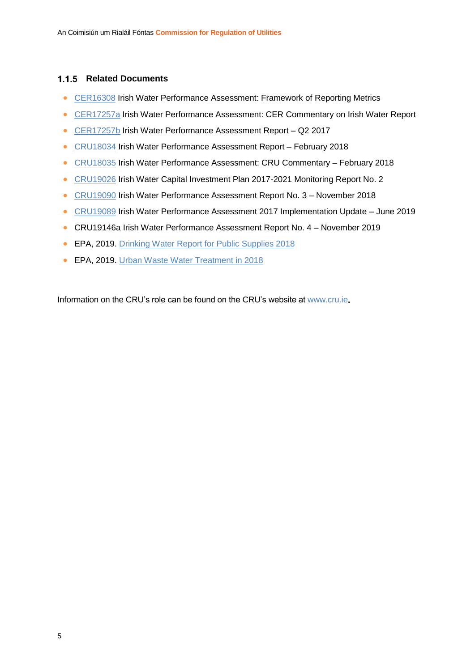## <span id="page-8-0"></span>**1.1.5 Related Documents**

- [CER16308](https://www.cru.ie/wp-content/uploads/2016/07/CER16308-Irish-Water-Performance-Assessment-Decision-on-Framework.pdf) Irish Water Performance Assessment: Framework of Reporting Metrics
- [CER17257a](https://www.cru.ie/wp-content/uploads/2016/11/CER17257a-Irish-Water-Performance-Assessment-CER-Commentary-No1.pdf) Irish Water Performance Assessment: CER Commentary on Irish Water Report
- [CER17257b](https://www.cru.ie/wp-content/uploads/2016/11/CER17257b-Irish-Water-Performance-Assessment-Aug-2017.pdf) Irish Water Performance Assessment Report Q2 2017
- [CRU18034](https://www.cru.ie/wp-content/uploads/2016/11/CRU18034-Irish-Water-Performance-Assessment-Report-No.-2-February-2018.pdf) Irish Water Performance Assessment Report February 2018
- [CRU18035](https://www.cru.ie/wp-content/uploads/2016/11/CRU18035-CRU-Commentary-Paper-on-Irish-Water-Report-No.-2-February-2018.pdf) Irish Water Performance Assessment: CRU Commentary February 2018
- [CRU19026](https://www.cru.ie/wp-content/uploads/2019/04/CRU190426-CRU-Monitoring-Report-No-2-Irish-Water-Capital-Investment-Plan-2017-2021.pdf) Irish Water Capital Investment Plan 2017-2021 Monitoring Report No. 2
- [CRU19090](https://www.cru.ie/wp-content/uploads/2019/07/CRU19090-Irish-Water-Performance-Assessment-Report-No.-3.pdf) Irish Water Performance Assessment Report No. 3 November 2018
- [CRU19089](https://www.cru.ie/wp-content/uploads/2019/07/CRU19089-Irish-Water-Performance-Assessment-Framework-2017-Implementation-Update.pdf) Irish Water Performance Assessment 2017 Implementation Update June 2019
- CRU19146a Irish Water Performance Assessment Report No. 4 November 2019
- EPA, 2019. [Drinking Water Report for Public Supplies 2018](https://www.epa.ie/pubs/reports/water/drinking/EPA%20DW%20Public%20Supplies_web.pdf)
- EPA, 2019. [Urban Waste Water Treatment in 2018](https://www.epa.ie/pubs/reports/water/wastewater/Urban%20Waste%20Water%20Treatment%20in%202018_Web.pdf)

Information on the CRU's role can be found on the CRU's website a[t www.cru.ie](http://www.cru.ie/)**.**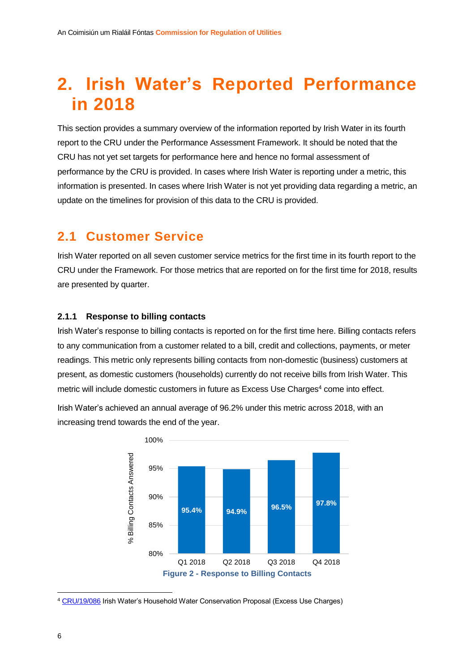# <span id="page-9-0"></span>**2. Irish Water's Reported Performance in 2018**

This section provides a summary overview of the information reported by Irish Water in its fourth report to the CRU under the Performance Assessment Framework. It should be noted that the CRU has not yet set targets for performance here and hence no formal assessment of performance by the CRU is provided. In cases where Irish Water is reporting under a metric, this information is presented. In cases where Irish Water is not yet providing data regarding a metric, an update on the timelines for provision of this data to the CRU is provided.

## <span id="page-9-1"></span>**2.1 Customer Service**

Irish Water reported on all seven customer service metrics for the first time in its fourth report to the CRU under the Framework. For those metrics that are reported on for the first time for 2018, results are presented by quarter.

## <span id="page-9-2"></span>**2.1.1 Response to billing contacts**

Irish Water's response to billing contacts is reported on for the first time here. Billing contacts refers to any communication from a customer related to a bill, credit and collections, payments, or meter readings. This metric only represents billing contacts from non-domestic (business) customers at present, as domestic customers (households) currently do not receive bills from Irish Water. This metric will include domestic customers in future as Excess Use Charges<sup>4</sup> come into effect.



Irish Water's achieved an annual average of 96.2% under this metric across 2018, with an increasing trend towards the end of the year.

**.** 

<sup>4</sup> [CRU/19/086](https://www.cru.ie/wp-content/uploads/2019/07/CRU19086-CRU-Decision-and-Response-to-Comments-on-Household-Water-Conservation-Excess-Use-Charges.pdf) Irish Water's Household Water Conservation Proposal (Excess Use Charges)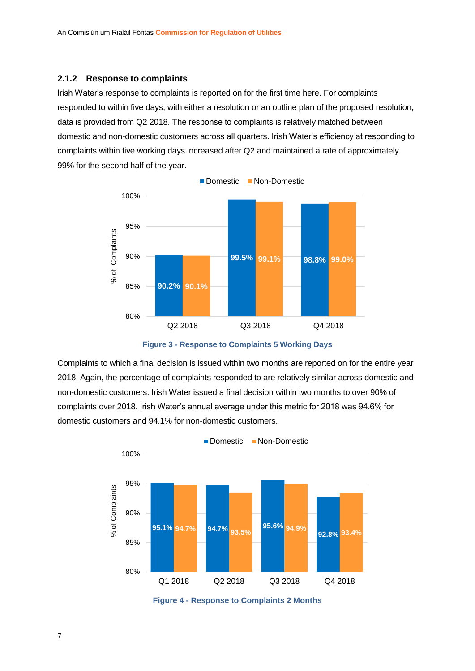### <span id="page-10-0"></span>**2.1.2 Response to complaints**

Irish Water's response to complaints is reported on for the first time here. For complaints responded to within five days, with either a resolution or an outline plan of the proposed resolution, data is provided from Q2 2018. The response to complaints is relatively matched between domestic and non-domestic customers across all quarters. Irish Water's efficiency at responding to complaints within five working days increased after Q2 and maintained a rate of approximately 99% for the second half of the year.



**Figure 3 - Response to Complaints 5 Working Days**

Complaints to which a final decision is issued within two months are reported on for the entire year 2018. Again, the percentage of complaints responded to are relatively similar across domestic and non-domestic customers. Irish Water issued a final decision within two months to over 90% of complaints over 2018. Irish Water's annual average under this metric for 2018 was 94.6% for domestic customers and 94.1% for non-domestic customers.



**Figure 4 - Response to Complaints 2 Months**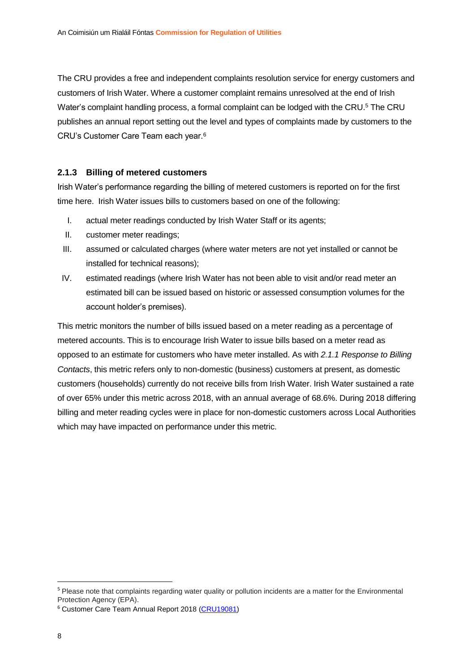The CRU provides a free and independent complaints resolution service for energy customers and customers of Irish Water. Where a customer complaint remains unresolved at the end of Irish Water's complaint handling process, a formal complaint can be lodged with the CRU.<sup>5</sup> The CRU publishes an annual report setting out the level and types of complaints made by customers to the CRU's Customer Care Team each year.<sup>6</sup>

## <span id="page-11-0"></span>**2.1.3 Billing of metered customers**

Irish Water's performance regarding the billing of metered customers is reported on for the first time here. Irish Water issues bills to customers based on one of the following:

- I. actual meter readings conducted by Irish Water Staff or its agents;
- II. customer meter readings;
- III. assumed or calculated charges (where water meters are not yet installed or cannot be installed for technical reasons);
- IV. estimated readings (where Irish Water has not been able to visit and/or read meter an estimated bill can be issued based on historic or assessed consumption volumes for the account holder's premises).

This metric monitors the number of bills issued based on a meter reading as a percentage of metered accounts. This is to encourage Irish Water to issue bills based on a meter read as opposed to an estimate for customers who have meter installed. As with *2.1.1 Response to Billing Contacts*, this metric refers only to non-domestic (business) customers at present, as domestic customers (households) currently do not receive bills from Irish Water. Irish Water sustained a rate of over 65% under this metric across 2018, with an annual average of 68.6%. During 2018 differing billing and meter reading cycles were in place for non-domestic customers across Local Authorities which may have impacted on performance under this metric.

**.** 

<sup>5</sup> Please note that complaints regarding water quality or pollution incidents are a matter for the Environmental Protection Agency (EPA).

<sup>6</sup> Customer Care Team Annual Report 2018 [\(CRU19081\)](https://mk0cruiefjep6wj7niq.kinstacdn.com/wp-content/uploads/2019/06/CRU19081-CCT-Annual-Report-2018.pdf)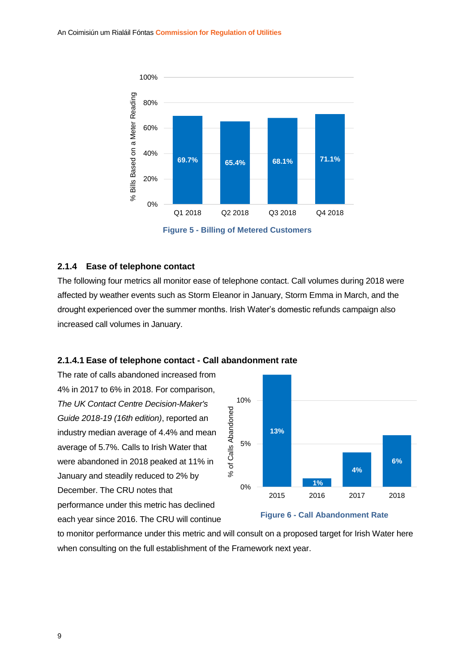

**Figure 5 - Billing of Metered Customers**

### <span id="page-12-0"></span>**2.1.4 Ease of telephone contact**

The following four metrics all monitor ease of telephone contact. Call volumes during 2018 were affected by weather events such as Storm Eleanor in January, Storm Emma in March, and the drought experienced over the summer months. Irish Water's domestic refunds campaign also increased call volumes in January.

### <span id="page-12-1"></span>**2.1.4.1 Ease of telephone contact - Call abandonment rate**

The rate of calls abandoned increased from 4% in 2017 to 6% in 2018. For comparison, *The UK Contact Centre Decision-Maker's Guide 2018-19 (16th edition)*, reported an industry median average of 4.4% and mean average of 5.7%. Calls to Irish Water that were abandoned in 2018 peaked at 11% in January and steadily reduced to 2% by December. The CRU notes that performance under this metric has declined each year since 2016. The CRU will continue



### **Figure 6 - Call Abandonment Rate**

to monitor performance under this metric and will consult on a proposed target for Irish Water here when consulting on the full establishment of the Framework next year.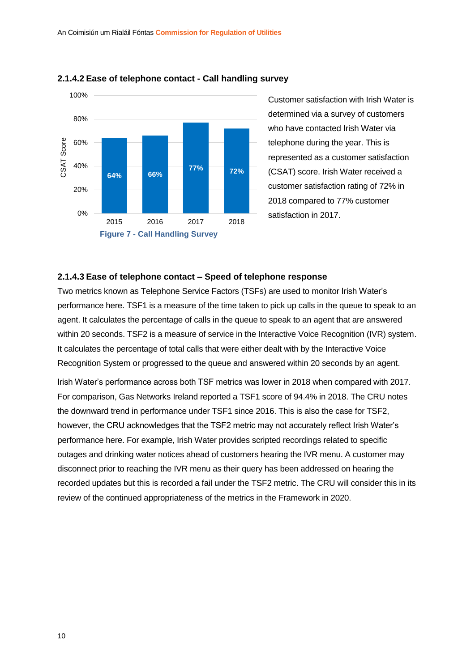

### <span id="page-13-0"></span>**2.1.4.2 Ease of telephone contact - Call handling survey**

Customer satisfaction with Irish Water is determined via a survey of customers who have contacted Irish Water via telephone during the year. This is represented as a customer satisfaction (CSAT) score. Irish Water received a customer satisfaction rating of 72% in 2018 compared to 77% customer satisfaction in 2017.

### <span id="page-13-1"></span>**2.1.4.3 Ease of telephone contact – Speed of telephone response**

Two metrics known as Telephone Service Factors (TSFs) are used to monitor Irish Water's performance here. TSF1 is a measure of the time taken to pick up calls in the queue to speak to an agent. It calculates the percentage of calls in the queue to speak to an agent that are answered within 20 seconds. TSF2 is a measure of service in the Interactive Voice Recognition (IVR) system. It calculates the percentage of total calls that were either dealt with by the Interactive Voice Recognition System or progressed to the queue and answered within 20 seconds by an agent.

Irish Water's performance across both TSF metrics was lower in 2018 when compared with 2017. For comparison, Gas Networks Ireland reported a TSF1 score of 94.4% in 2018. The CRU notes the downward trend in performance under TSF1 since 2016. This is also the case for TSF2, however, the CRU acknowledges that the TSF2 metric may not accurately reflect Irish Water's performance here. For example, Irish Water provides scripted recordings related to specific outages and drinking water notices ahead of customers hearing the IVR menu. A customer may disconnect prior to reaching the IVR menu as their query has been addressed on hearing the recorded updates but this is recorded a fail under the TSF2 metric. The CRU will consider this in its review of the continued appropriateness of the metrics in the Framework in 2020.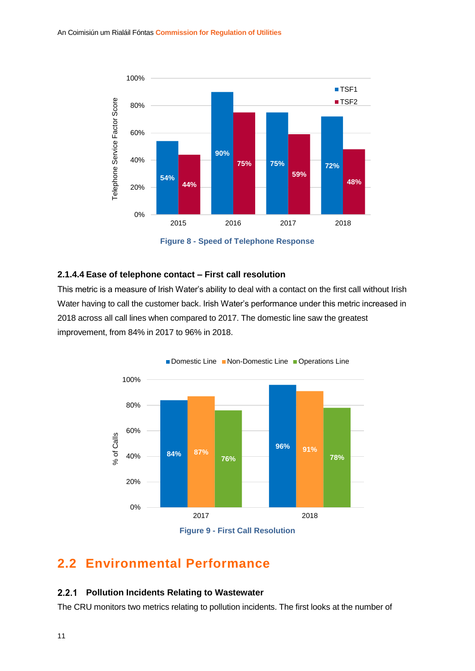

**Figure 8 - Speed of Telephone Response**

## <span id="page-14-0"></span>**2.1.4.4 Ease of telephone contact – First call resolution**

This metric is a measure of Irish Water's ability to deal with a contact on the first call without Irish Water having to call the customer back. Irish Water's performance under this metric increased in 2018 across all call lines when compared to 2017. The domestic line saw the greatest improvement, from 84% in 2017 to 96% in 2018.



## <span id="page-14-1"></span>**2.2 Environmental Performance**

#### <span id="page-14-2"></span> $2.2.1$ **Pollution Incidents Relating to Wastewater**

The CRU monitors two metrics relating to pollution incidents. The first looks at the number of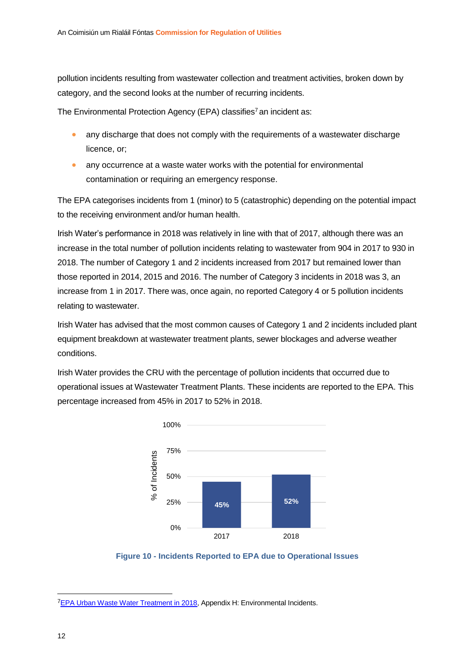pollution incidents resulting from wastewater collection and treatment activities, broken down by category, and the second looks at the number of recurring incidents.

The Environmental Protection Agency (EPA) classifies<sup>7</sup> an incident as:

- any discharge that does not comply with the requirements of a wastewater discharge licence, or;
- any occurrence at a waste water works with the potential for environmental contamination or requiring an emergency response.

The EPA categorises incidents from 1 (minor) to 5 (catastrophic) depending on the potential impact to the receiving environment and/or human health.

Irish Water's performance in 2018 was relatively in line with that of 2017, although there was an increase in the total number of pollution incidents relating to wastewater from 904 in 2017 to 930 in 2018. The number of Category 1 and 2 incidents increased from 2017 but remained lower than those reported in 2014, 2015 and 2016. The number of Category 3 incidents in 2018 was 3, an increase from 1 in 2017. There was, once again, no reported Category 4 or 5 pollution incidents relating to wastewater.

Irish Water has advised that the most common causes of Category 1 and 2 incidents included plant equipment breakdown at wastewater treatment plants, sewer blockages and adverse weather conditions.

Irish Water provides the CRU with the percentage of pollution incidents that occurred due to operational issues at Wastewater Treatment Plants. These incidents are reported to the EPA. This percentage increased from 45% in 2017 to 52% in 2018.





 $\overline{a}$ 

<sup>&</sup>lt;sup>7</sup>[EPA Urban Waste Water Treatment in 2018,](https://www.epa.ie/pubs/reports/water/wastewater/Urban%20Waste%20Water%20Treatment%20in%202018_Web.pdf) Appendix H: Environmental Incidents.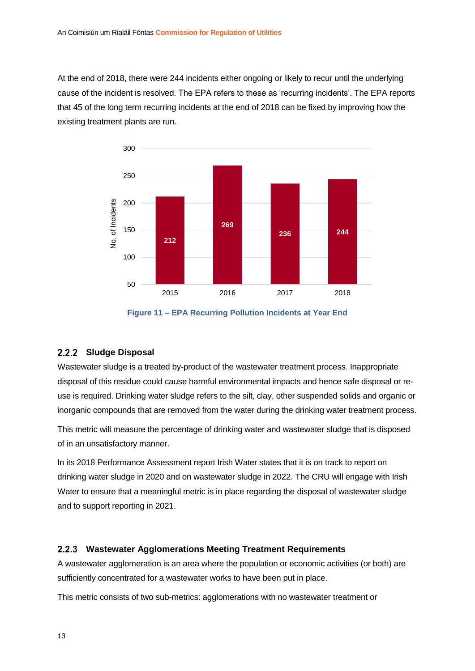At the end of 2018, there were 244 incidents either ongoing or likely to recur until the underlying cause of the incident is resolved. The EPA refers to these as 'recurring incidents'. The EPA reports that 45 of the long term recurring incidents at the end of 2018 can be fixed by improving how the existing treatment plants are run.



**Figure 11 – EPA Recurring Pollution Incidents at Year End**

## <span id="page-16-0"></span>2.2.2 Sludge Disposal

Wastewater sludge is a treated by-product of the wastewater treatment process. Inappropriate disposal of this residue could cause harmful environmental impacts and hence safe disposal or reuse is required. Drinking water sludge refers to the silt, clay, other suspended solids and organic or inorganic compounds that are removed from the water during the drinking water treatment process.

This metric will measure the percentage of drinking water and wastewater sludge that is disposed of in an unsatisfactory manner.

In its 2018 Performance Assessment report Irish Water states that it is on track to report on drinking water sludge in 2020 and on wastewater sludge in 2022. The CRU will engage with Irish Water to ensure that a meaningful metric is in place regarding the disposal of wastewater sludge and to support reporting in 2021.

## <span id="page-16-1"></span>**Wastewater Agglomerations Meeting Treatment Requirements**

A wastewater agglomeration is an area where the population or economic activities (or both) are sufficiently concentrated for a wastewater works to have been put in place.

This metric consists of two sub-metrics: agglomerations with no wastewater treatment or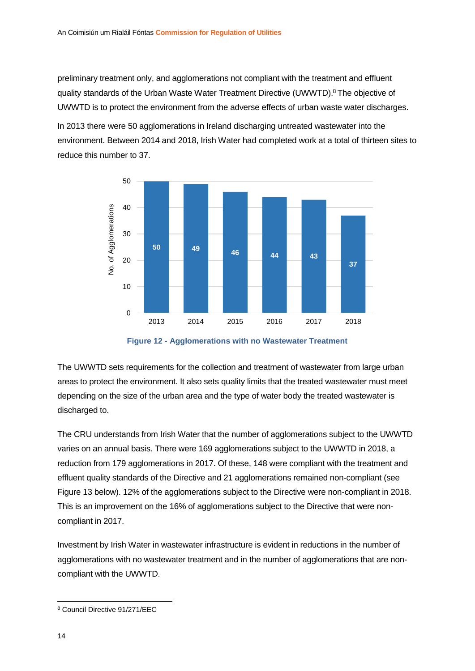preliminary treatment only, and agglomerations not compliant with the treatment and effluent quality standards of the Urban Waste Water Treatment Directive (UWWTD). <sup>8</sup> The objective of UWWTD is to protect the environment from the adverse effects of [urban waste water](https://ec.europa.eu/environment/water/water-urbanwaste/info/glossary_en.htm#urbwastewater) discharges.

In 2013 there were 50 agglomerations in Ireland discharging untreated wastewater into the environment. Between 2014 and 2018, Irish Water had completed work at a total of thirteen sites to reduce this number to 37.



**Figure 12 - Agglomerations with no Wastewater Treatment**

The UWWTD sets requirements for the collection and treatment of wastewater from large urban areas to protect the environment. It also sets quality limits that the treated wastewater must meet depending on the size of the urban area and the type of water body the treated wastewater is discharged to.

The CRU understands from Irish Water that the number of agglomerations subject to the UWWTD varies on an annual basis. There were 169 agglomerations subject to the UWWTD in 2018, a reduction from 179 agglomerations in 2017. Of these, 148 were compliant with the treatment and effluent quality standards of the Directive and 21 agglomerations remained non-compliant (see Figure 13 below). 12% of the agglomerations subject to the Directive were non-compliant in 2018. This is an improvement on the 16% of agglomerations subject to the Directive that were noncompliant in 2017.

Investment by Irish Water in wastewater infrastructure is evident in reductions in the number of agglomerations with no wastewater treatment and in the number of agglomerations that are noncompliant with the UWWTD.

1

<sup>8</sup> Council Directive 91/271/EEC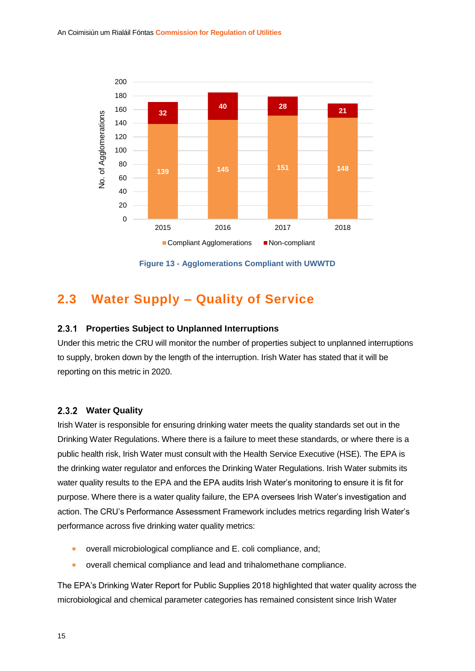

**Figure 13 - Agglomerations Compliant with UWWTD**

## <span id="page-18-0"></span>**2.3 Water Supply – Quality of Service**

#### <span id="page-18-1"></span> $2.3.1$ **Properties Subject to Unplanned Interruptions**

Under this metric the CRU will monitor the number of properties subject to unplanned interruptions to supply, broken down by the length of the interruption. Irish Water has stated that it will be reporting on this metric in 2020.

### <span id="page-18-2"></span>**Water Quality**

Irish Water is responsible for ensuring drinking water meets the quality standards set out in the Drinking Water Regulations. Where there is a failure to meet these standards, or where there is a public health risk, Irish Water must consult with the Health Service Executive (HSE). The EPA is the drinking water regulator and enforces the Drinking Water Regulations. Irish Water submits its water quality results to the EPA and the EPA audits Irish Water's monitoring to ensure it is fit for purpose. Where there is a water quality failure, the EPA oversees Irish Water's investigation and action. The CRU's Performance Assessment Framework includes metrics regarding Irish Water's performance across five drinking water quality metrics:

- overall microbiological compliance and E. coli compliance, and;
- overall chemical compliance and lead and trihalomethane compliance.

The EPA's Drinking Water Report for Public Supplies 2018 highlighted that water quality across the microbiological and chemical parameter categories has remained consistent since Irish Water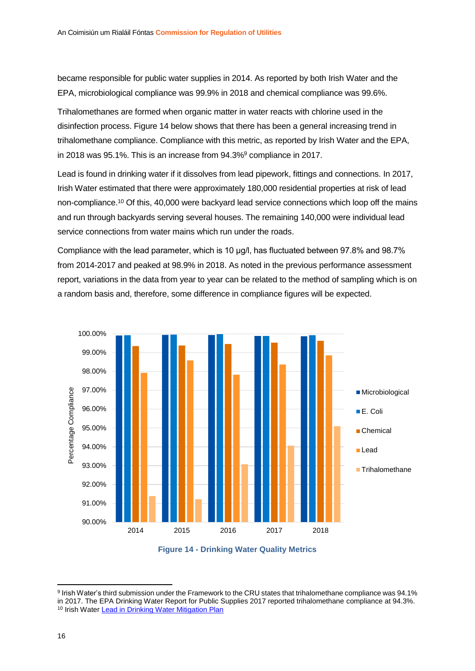became responsible for public water supplies in 2014. As reported by both Irish Water and the EPA, microbiological compliance was 99.9% in 2018 and chemical compliance was 99.6%.

Trihalomethanes are formed when organic matter in water reacts with chlorine used in the disinfection process. Figure 14 below shows that there has been a general increasing trend in trihalomethane compliance. Compliance with this metric, as reported by Irish Water and the EPA, in 2018 was 95.1%. This is an increase from 94.3%<sup>9</sup> compliance in 2017.

Lead is found in drinking water if it dissolves from lead pipework, fittings and connections. In 2017, Irish Water estimated that there were approximately 180,000 residential properties at risk of lead non-compliance.<sup>10</sup> Of this, 40,000 were backyard lead service connections which loop off the mains and run through backyards serving several houses. The remaining 140,000 were individual lead service connections from water mains which run under the roads.

Compliance with the lead parameter, which is 10 μg/l, has fluctuated between 97.8% and 98.7% from 2014-2017 and peaked at 98.9% in 2018. As noted in the previous performance assessment report, variations in the data from year to year can be related to the method of sampling which is on a random basis and, therefore, some difference in compliance figures will be expected.





**.** 

<sup>9</sup> Irish Water's third submission under the Framework to the CRU states that trihalomethane compliance was 94.1% in 2017. The EPA Drinking Water Report for Public Supplies 2017 reported trihalomethane compliance at 94.3%. <sup>10</sup> Irish Water [Lead in Drinking Water Mitigation Plan](https://www.water.ie/docs/Lead-in-Drinking-Water-Mitigation-Plan.pdf)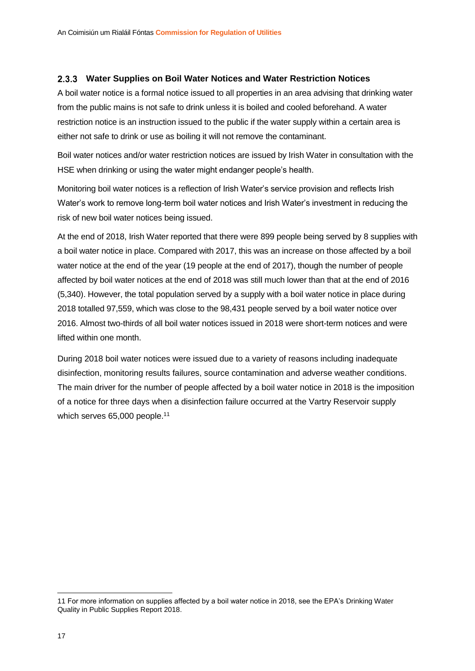## <span id="page-20-0"></span>**Water Supplies on Boil Water Notices and Water Restriction Notices**

A boil water notice is a formal notice issued to all properties in an area advising that drinking water from the public mains is not safe to drink unless it is boiled and cooled beforehand. A water restriction notice is an instruction issued to the public if the water supply within a certain area is either not safe to drink or use as boiling it will not remove the contaminant.

Boil water notices and/or water restriction notices are issued by Irish Water in consultation with the HSE when drinking or using the water might endanger people's health.

Monitoring boil water notices is a reflection of Irish Water's service provision and reflects Irish Water's work to remove long-term boil water notices and Irish Water's investment in reducing the risk of new boil water notices being issued.

At the end of 2018, Irish Water reported that there were 899 people being served by 8 supplies with a boil water notice in place. Compared with 2017, this was an increase on those affected by a boil water notice at the end of the year (19 people at the end of 2017), though the number of people affected by boil water notices at the end of 2018 was still much lower than that at the end of 2016 (5,340). However, the total population served by a supply with a boil water notice in place during 2018 totalled 97,559, which was close to the 98,431 people served by a boil water notice over 2016. Almost two-thirds of all boil water notices issued in 2018 were short-term notices and were lifted within one month.

During 2018 boil water notices were issued due to a variety of reasons including inadequate disinfection, monitoring results failures, source contamination and adverse weather conditions. The main driver for the number of people affected by a boil water notice in 2018 is the imposition of a notice for three days when a disinfection failure occurred at the Vartry Reservoir supply which serves 65,000 people.<sup>11</sup>

1

<sup>11</sup> For more information on supplies affected by a boil water notice in 2018, see the EPA'[s Drinking Water](https://www.epa.ie/pubs/reports/water/drinking/EPA%20DW%20Public%20Supplies_web.pdf)  [Quality in Public Supplies Report 2018.](https://www.epa.ie/pubs/reports/water/drinking/EPA%20DW%20Public%20Supplies_web.pdf)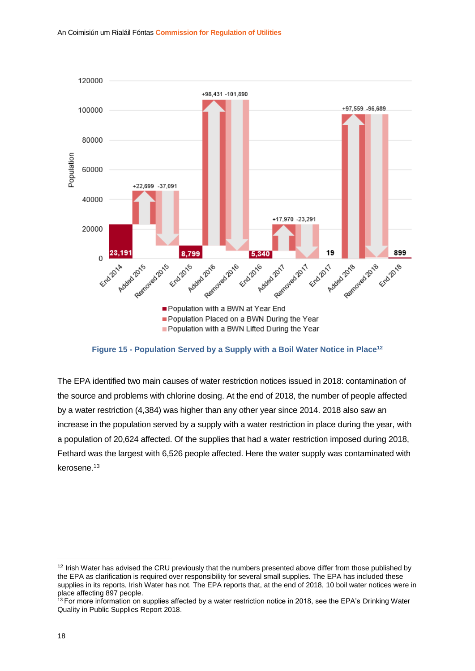

**Figure 15 - Population Served by a Supply with a Boil Water Notice in Place<sup>12</sup>**

The EPA identified two main causes of water restriction notices issued in 2018: contamination of the source and problems with chlorine dosing. At the end of 2018, the number of people affected by a water restriction (4,384) was higher than any other year since 2014. 2018 also saw an increase in the population served by a supply with a water restriction in place during the year, with a population of 20,624 affected. Of the supplies that had a water restriction imposed during 2018, Fethard was the largest with 6,526 people affected. Here the water supply was contaminated with kerosene.<sup>13</sup>

**.** 

<sup>&</sup>lt;sup>12</sup> Irish Water has advised the CRU previously that the numbers presented above differ from those published by the EPA as clarification is required over responsibility for several small supplies. The EPA has included these supplies in its reports, Irish Water has not. The EPA reports that, at the end of 2018, 10 boil water notices were in place affecting 897 people.

 $13$  For more information on supplies affected by a water restriction notice in 2018, see the EPA's Drinking Water [Quality in Public Supplies Report 2018.](https://www.epa.ie/pubs/reports/water/drinking/EPA%20DW%20Public%20Supplies_web.pdf)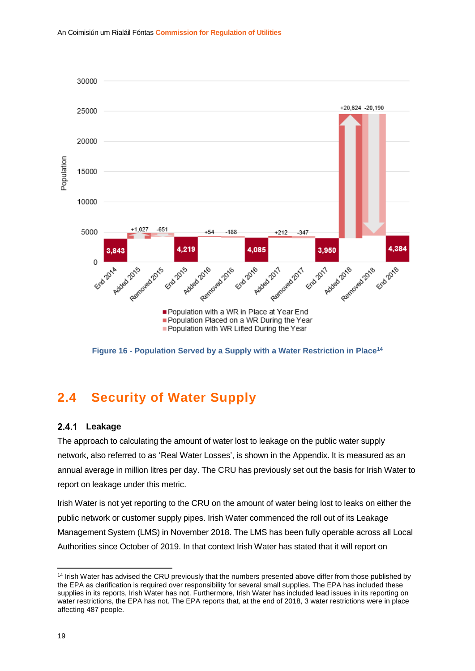

**Figure 16 - Population Served by a Supply with a Water Restriction in Place<sup>14</sup>**

## <span id="page-22-0"></span>**2.4 Security of Water Supply**

#### <span id="page-22-1"></span> $2.4.1$ **Leakage**

The approach to calculating the amount of water lost to leakage on the public water supply network, also referred to as 'Real Water Losses', is shown in the Appendix. It is measured as an annual average in million litres per day. The CRU has previously set out the basis for Irish Water to report on leakage under this metric.

Irish Water is not yet reporting to the CRU on the amount of water being lost to leaks on either the public network or customer supply pipes. Irish Water commenced the roll out of its Leakage Management System (LMS) in November 2018. The LMS has been fully operable across all Local Authorities since October of 2019. In that context Irish Water has stated that it will report on

**<sup>.</sup>** <sup>14</sup> Irish Water has advised the CRU previously that the numbers presented above differ from those published by the EPA as clarification is required over responsibility for several small supplies. The EPA has included these supplies in its reports, Irish Water has not. Furthermore, Irish Water has included lead issues in its reporting on water restrictions, the EPA has not. The EPA reports that, at the end of 2018, 3 water restrictions were in place affecting 487 people.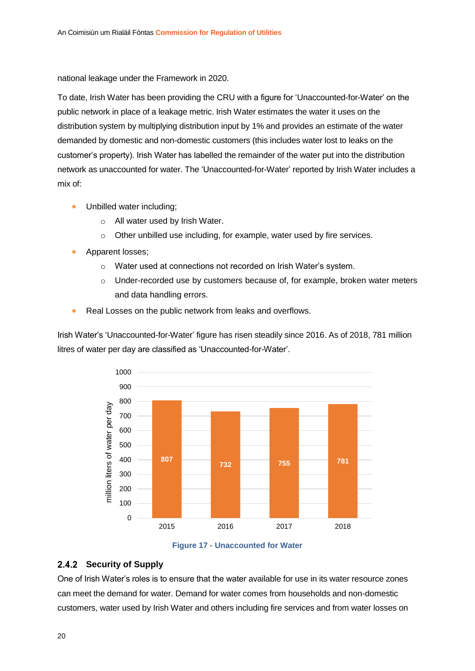national leakage under the Framework in 2020.

To date, Irish Water has been providing the CRU with a figure for 'Unaccounted-for-Water' on the public network in place of a leakage metric. Irish Water estimates the water it uses on the distribution system by multiplying distribution input by 1% and provides an estimate of the water demanded by domestic and non-domestic customers (this includes water lost to leaks on the customer's property). Irish Water has labelled the remainder of the water put into the distribution network as unaccounted for water. The 'Unaccounted-for-Water' reported by Irish Water includes a mix of:

- Unbilled water including;
	- o All water used by Irish Water.
	- o Other unbilled use including, for example, water used by fire services.
- Apparent losses;
	- o Water used at connections not recorded on Irish Water's system.
	- $\circ$  Under-recorded use by customers because of, for example, broken water meters and data handling errors.
- Real Losses on the public network from leaks and overflows.

Irish Water's 'Unaccounted-for-Water' figure has risen steadily since 2016. As of 2018, 781 million litres of water per day are classified as 'Unaccounted-for-Water'.





## <span id="page-23-0"></span>2.4.2 Security of Supply

One of Irish Water's roles is to ensure that the water available for use in its water resource zones can meet the demand for water. Demand for water comes from households and non-domestic customers, water used by Irish Water and others including fire services and from water losses on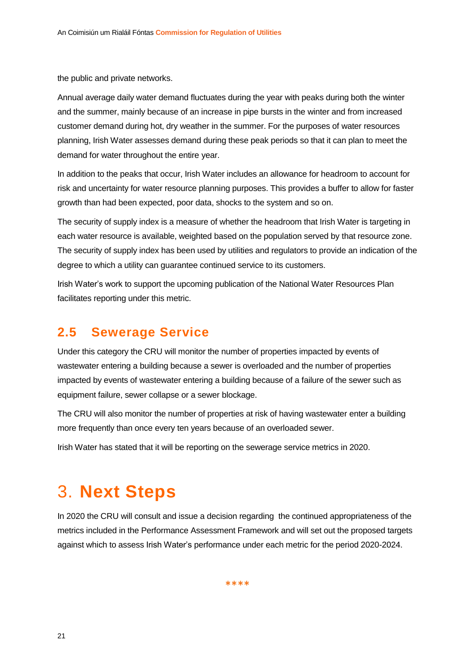the public and private networks.

Annual average daily water demand fluctuates during the year with peaks during both the winter and the summer, mainly because of an increase in pipe bursts in the winter and from increased customer demand during hot, dry weather in the summer. For the purposes of water resources planning, Irish Water assesses demand during these peak periods so that it can plan to meet the demand for water throughout the entire year.

In addition to the peaks that occur, Irish Water includes an allowance for headroom to account for risk and uncertainty for water resource planning purposes. This provides a buffer to allow for faster growth than had been expected, poor data, shocks to the system and so on.

The security of supply index is a measure of whether the headroom that Irish Water is targeting in each water resource is available, weighted based on the population served by that resource zone. The security of supply index has been used by utilities and regulators to provide an indication of the degree to which a utility can guarantee continued service to its customers.

Irish Water's work to support the upcoming publication of the National Water Resources Plan facilitates reporting under this metric.

## <span id="page-24-0"></span>**2.5 Sewerage Service**

Under this category the CRU will monitor the number of properties impacted by events of wastewater entering a building because a sewer is overloaded and the number of properties impacted by events of wastewater entering a building because of a failure of the sewer such as equipment failure, sewer collapse or a sewer blockage.

The CRU will also monitor the number of properties at risk of having wastewater enter a building more frequently than once every ten years because of an overloaded sewer.

Irish Water has stated that it will be reporting on the sewerage service metrics in 2020.

# <span id="page-24-1"></span>3. **Next Steps**

In 2020 the CRU will consult and issue a decision regarding the continued appropriateness of the metrics included in the Performance Assessment Framework and will set out the proposed targets against which to assess Irish Water's performance under each metric for the period 2020-2024.

\*\*\*\*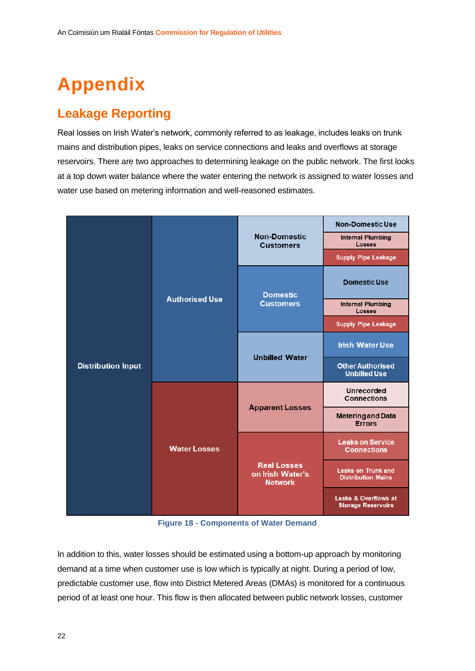# <span id="page-25-0"></span>**Appendix**

## **Leakage Reporting**

Real losses on Irish Water's network, commonly referred to as leakage, includes leaks on trunk mains and distribution pipes, leaks on service connections and leaks and overflows at storage reservoirs. There are two approaches to determining leakage on the public network. The first looks at a top down water balance where the water entering the network is assigned to water losses and water use based on metering information and well-reasoned estimates.

|                           | <b>Authorised Use</b> | <b>Non-Domestic</b><br><b>Customers</b>                  | <b>Non-Domestic Use</b>                                |
|---------------------------|-----------------------|----------------------------------------------------------|--------------------------------------------------------|
|                           |                       |                                                          | <b>Internal Plumbing</b><br><b>Losses</b>              |
|                           |                       |                                                          | <b>Supply Pipe Leakage</b>                             |
|                           |                       | <b>Domestic</b><br><b>Customers</b>                      | <b>Domestic Use</b>                                    |
|                           |                       |                                                          | <b>Internal Plumbing</b><br><b>Losses</b>              |
|                           |                       |                                                          | <b>Supply Pipe Leakage</b>                             |
|                           |                       | <b>Unbilled Water</b>                                    | <b>Irish Water Use</b>                                 |
| <b>Distribution Input</b> |                       |                                                          | <b>Other Authorised</b><br><b>Unbilled Use</b>         |
|                           | <b>Water Losses</b>   | <b>Apparent Losses</b>                                   | <b>Unrecorded</b><br><b>Connections</b>                |
|                           |                       |                                                          | <b>Metering and Data</b><br><b>Errors</b>              |
|                           |                       | <b>Real Losses</b><br>on Irish Water's<br><b>Network</b> | <b>Leaks on Service</b><br><b>Connections</b>          |
|                           |                       |                                                          | <b>Leaks on Trunk and</b><br><b>Distribution Mains</b> |
|                           |                       |                                                          | Leaks & Overflows at<br><b>Storage Reservoirs</b>      |

**Figure 18 - Components of Water Demand**

In addition to this, water losses should be estimated using a bottom-up approach by monitoring demand at a time when customer use is low which is typically at night. During a period of low, predictable customer use, flow into District Metered Areas (DMAs) is monitored for a continuous period of at least one hour. This flow is then allocated between public network losses, customer